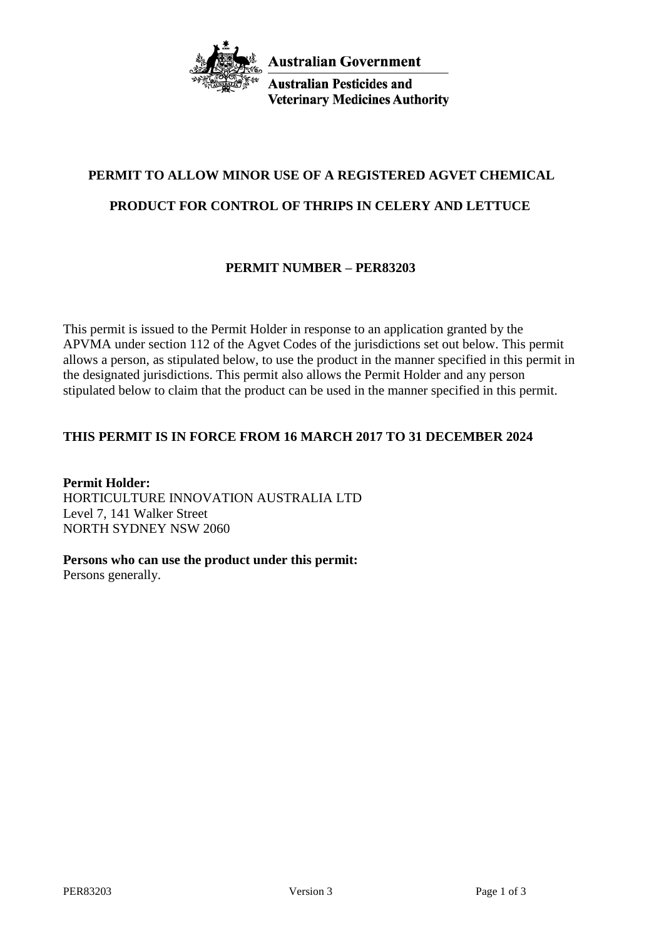

**Australian Pesticides and Veterinary Medicines Authority** 

# **PERMIT TO ALLOW MINOR USE OF A REGISTERED AGVET CHEMICAL**

# **PRODUCT FOR CONTROL OF THRIPS IN CELERY AND LETTUCE**

# **PERMIT NUMBER – PER83203**

This permit is issued to the Permit Holder in response to an application granted by the APVMA under section 112 of the Agvet Codes of the jurisdictions set out below. This permit allows a person, as stipulated below, to use the product in the manner specified in this permit in the designated jurisdictions. This permit also allows the Permit Holder and any person stipulated below to claim that the product can be used in the manner specified in this permit.

# **THIS PERMIT IS IN FORCE FROM 16 MARCH 2017 TO 31 DECEMBER 2024**

**Permit Holder:** HORTICULTURE INNOVATION AUSTRALIA LTD Level 7, 141 Walker Street NORTH SYDNEY NSW 2060

**Persons who can use the product under this permit:**

Persons generally.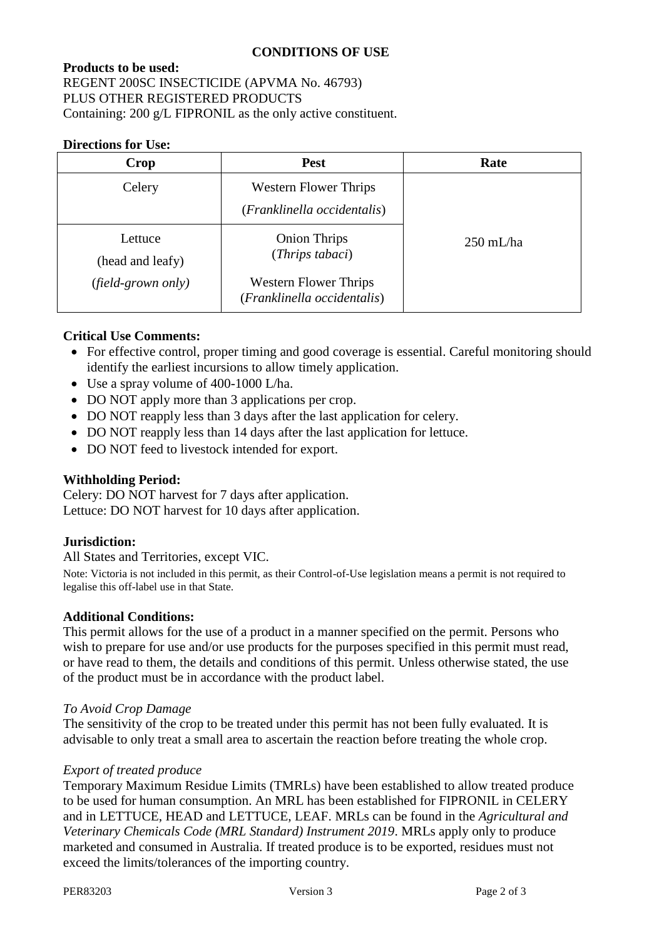## **CONDITIONS OF USE**

# **Products to be used:** REGENT 200SC INSECTICIDE (APVMA No. 46793) PLUS OTHER REGISTERED PRODUCTS Containing: 200 g/L FIPRONIL as the only active constituent.

#### **Directions for Use:**

| Crop                        | <b>Pest</b>                                                 | Rate                |
|-----------------------------|-------------------------------------------------------------|---------------------|
| Celery                      | <b>Western Flower Thrips</b><br>(Franklinella occidentalis) |                     |
| Lettuce<br>(head and leafy) | <b>Onion Thrips</b><br>(Thrips tabaci)                      | $250 \text{ mL/ha}$ |
| (field-grown only)          | <b>Western Flower Thrips</b><br>(Franklinella occidentalis) |                     |

## **Critical Use Comments:**

- For effective control, proper timing and good coverage is essential. Careful monitoring should identify the earliest incursions to allow timely application.
- Use a spray volume of 400-1000 L/ha.
- DO NOT apply more than 3 applications per crop.
- DO NOT reapply less than 3 days after the last application for celery.
- DO NOT reapply less than 14 days after the last application for lettuce.
- DO NOT feed to livestock intended for export.

### **Withholding Period:**

Celery: DO NOT harvest for 7 days after application. Lettuce: DO NOT harvest for 10 days after application.

### **Jurisdiction:**

All States and Territories, except VIC.

Note: Victoria is not included in this permit, as their Control-of-Use legislation means a permit is not required to legalise this off-label use in that State.

### **Additional Conditions:**

This permit allows for the use of a product in a manner specified on the permit. Persons who wish to prepare for use and/or use products for the purposes specified in this permit must read, or have read to them, the details and conditions of this permit. Unless otherwise stated, the use of the product must be in accordance with the product label.

#### *To Avoid Crop Damage*

The sensitivity of the crop to be treated under this permit has not been fully evaluated. It is advisable to only treat a small area to ascertain the reaction before treating the whole crop.

#### *Export of treated produce*

Temporary Maximum Residue Limits (TMRLs) have been established to allow treated produce to be used for human consumption. An MRL has been established for FIPRONIL in CELERY and in LETTUCE, HEAD and LETTUCE, LEAF. MRLs can be found in the *Agricultural and Veterinary Chemicals Code (MRL Standard) Instrument 2019*. MRLs apply only to produce marketed and consumed in Australia. If treated produce is to be exported, residues must not exceed the limits/tolerances of the importing country.